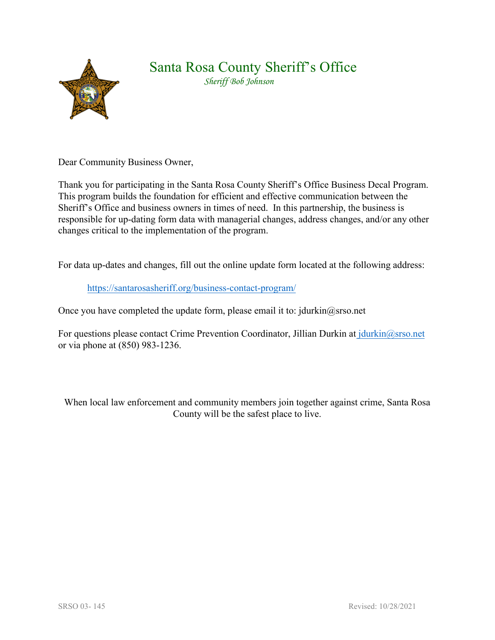

## Santa Rosa County Sheriff's Office

 *Sheriff Bob Johnson* 

Dear Community Business Owner,

Thank you for participating in the Santa Rosa County Sheriff's Office Business Decal Program. This program builds the foundation for efficient and effective communication between the Sheriff's Office and business owners in times of need. In this partnership, the business is responsible for up-dating form data with managerial changes, address changes, and/or any other changes critical to the implementation of the program.

For data up-dates and changes, fill out the online update form located at the following address:

## <https://santarosasheriff.org/business-contact-program/>

Once you have completed the update form, please email it to: jdurkin $@$ srso.net

For questions please contact Crime Prevention Coordinator, Jillian Durkin at [jdurkin@srso.net](mailto:mwetzel@srso.net) or via phone at (850) 983-1236.

When local law enforcement and community members join together against crime, Santa Rosa County will be the safest place to live.